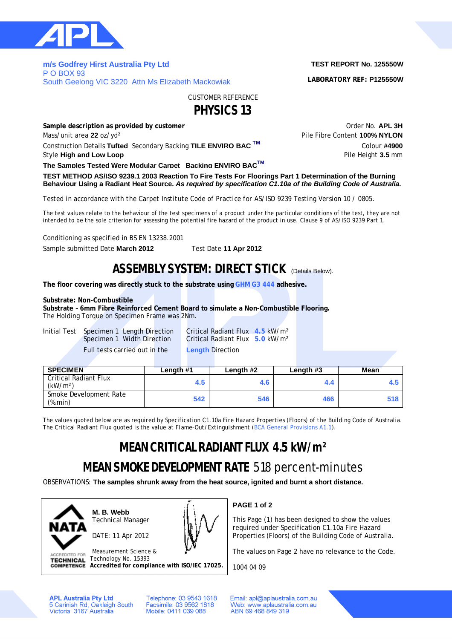

**m/s Godfrey Hirst Australia Pty Ltd**  P O BOX 93 South Geelong VIC 3220 Attn Ms Elizabeth Mackowiak

## **TEST REPORT No. 125550W**

**LABORATORY REF: P125550W**

CUSTOMER REFERENCE

**PHYSICS 13**

**Sample description as provided by customer COVID-100 COVID-100 COVID-100 COVID-100 COVID-100 COVID-14 COVID-14 COVID-14 COVID-14 COVID-14 COVID-14 COVID-14 COVID-14 COVID-14 COVID-14 COVID-14 COVID-14 COVID-14 COVID-14** Mass/unit area 22 oz/yd<sup>2</sup> and the extent of Pile Fibre Content **100% NYLON** Construction Details Tufted Secondary Backing TILE ENVIRO BAC<sup>TM</sup> Colour #4900 Style **High and Low Loop Pile Height 3.5** mm

**The Samples Tested Were Modular Carpet Backing ENVIRO BACTM**

**TEST METHOD AS/ISO 9239.1 2003 Reaction To Fire Tests For Floorings Part 1 Determination of the Burning Behaviour Using a Radiant Heat Source.** *As required by specification C1.10a of the Building Code of Australia.*

*Tested in accordance with the Carpet Institute Code of Practice for AS/ISO 9239 Testing Version 10 / 0805.*

The test values relate to the behaviour of the test specimens of a product under the particular conditions of the test, they are not intended to be the sole criterion for assessing the potential fire hazard of the product in use. Clause 9 of AS/ISO 9239 Part 1.

Conditioning as specified in BS EN 13238.2001

Sample submitted Date **March 2012** Test Date **11 Apr 2012**

## **ASSEMBLY SYSTEM: DIRECT STICK** (Details Below).

**The floor covering was directly stuck to the substrate using GHM G3 444 adhesive.**

### **Substrate: Non-Combustible**

**Substrate – 6mm Fibre Reinforced Cement Board to simulate a Non-Combustible Flooring.** The Holding Torque on Specimen Frame was 2Nm.

Initial Test Specimen 1 Length Direction Critical Radiant Flux **4.5** kW/m² Full tests carried out in the **Length** Direction

Critical Radiant Flux **5.0** kW/m<sup>2</sup>

| <b>SPECIMEN</b>                               | Length #1 | Length #2 | Length #3 | <b>Mean</b> |
|-----------------------------------------------|-----------|-----------|-----------|-------------|
| Critical Radiant Flux<br>(kW/m <sup>2</sup> ) | 4.5       | 4.6       |           |             |
| Smoke Development Rate<br>(%.min)             | 542       | 546       | 466       | 518         |

*The values quoted below are as required by Specification C1.10a Fire Hazard Properties (Floors) of the Building Code of Australia. The Critical Radiant Flux quoted is the value at Flame-Out/Extinguishment (BCA General Provisions A1.1).*

# **MEAN CRITICAL RADIANT FLUX 4.5 kW/m²**

# **MEAN SMOKE DEVELOPMENT RATE** 518 percent-minutes

OBSERVATIONS: **The samples shrunk away from the heat source, ignited and burnt a short distance.**



**M. B. Webb** Technical Manager

DATE: 11 Apr 2012



Measurement Science & **ACCREDITED FOR** Technology No. 15393 **TECHNICAL Accredited for compliance with ISO/IEC 17025.** **PAGE 1 of 2**

This Page (1) has been designed to show the values required under Specification C1.10a Fire Hazard Properties (Floors) of the Building Code of Australia.

The values on Page 2 have no relevance to the Code.

1004 04 09

**APL Australia Pty Ltd** 5 Carinish Rd, Oakleigh South<br>Victoria 3167 Australia Telephone: 03 9543 1618 Facsimile: 03 9562 1818 Mobile: 0411 039 088

Email: apl@aplaustralia.com.au Web: www.aplaustralia.com.au ABN 69 468 849 319